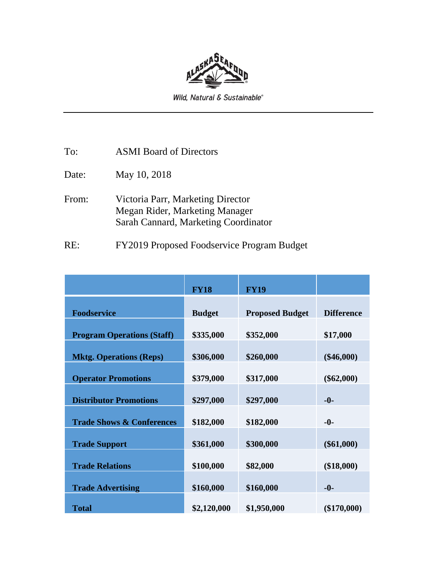

Wild, Natural & Sustainable®

To: ASMI Board of Directors

Date: May 10, 2018

From: Victoria Parr, Marketing Director Megan Rider, Marketing Manager Sarah Cannard, Marketing Coordinator

RE: FY2019 Proposed Foodservice Program Budget

|                                      | <b>FY18</b>   | <b>FY19</b>            |                   |
|--------------------------------------|---------------|------------------------|-------------------|
| <b>Foodservice</b>                   | <b>Budget</b> | <b>Proposed Budget</b> | <b>Difference</b> |
| <b>Program Operations (Staff)</b>    | \$335,000     | \$352,000              | \$17,000          |
| <b>Mktg. Operations (Reps)</b>       | \$306,000     | \$260,000              | $(\$46,000)$      |
| <b>Operator Promotions</b>           | \$379,000     | \$317,000              | $(\$62,000)$      |
| <b>Distributor Promotions</b>        | \$297,000     | \$297,000              | $-0-$             |
| <b>Trade Shows &amp; Conferences</b> | \$182,000     | \$182,000              | $-0-$             |
| <b>Trade Support</b>                 | \$361,000     | \$300,000              | $(\$61,000)$      |
| <b>Trade Relations</b>               | \$100,000     | \$82,000               | $(\$18,000)$      |
| <b>Trade Advertising</b>             | \$160,000     | \$160,000              | $-0-$             |
| <b>Total</b>                         | \$2,120,000   | \$1,950,000            | $(\$170,000)$     |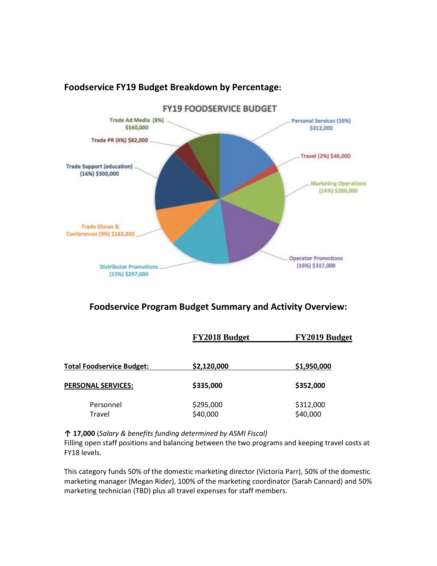

# **Foodservice FY19 Budget Breakdown by Percentage:**

# **Foodservice Program Budget Summary and Activity Overview:**

|                                  | FY2018 Budget         | FY2019 Budget         |  |
|----------------------------------|-----------------------|-----------------------|--|
| <b>Total Foodservice Budget:</b> | \$2,120,000           | \$1,950,000           |  |
| <b>PERSONAL SERVICES:</b>        | \$335,000             | \$352,000             |  |
| Personnel<br>Travel              | \$295,000<br>\$40,000 | \$312,000<br>\$40,000 |  |

**↑ 17,000** (*Salary & benefits funding determined by ASMI Fiscal)*

Filling open staff positions and balancing between the two programs and keeping travel costs at FY18 levels.

This category funds 50% of the domestic marketing director (Victoria Parr), 50% of the domestic marketing manager (Megan Rider), 100% of the marketing coordinator (Sarah Cannard) and 50% marketing technician (TBD) plus all travel expenses for staff members.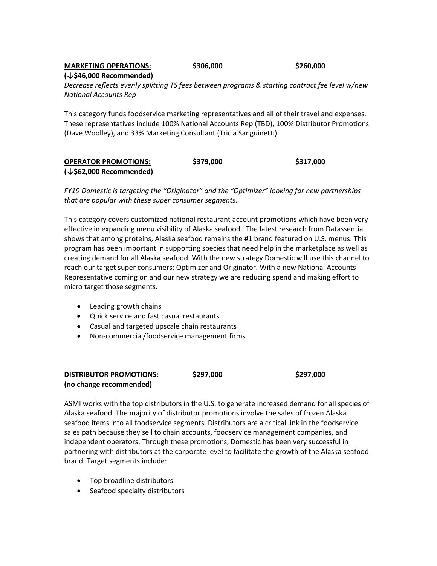## **MARKETING OPERATIONS: \$306,000 \$260,000 (↓\$46,000 Recommended)**

*Decrease reflects evenly splitting TS fees between programs & starting contract fee level w/new National Accounts Rep*

This category funds foodservice marketing representatives and all of their travel and expenses. These representatives include 100% National Accounts Rep (TBD), 100% Distributor Promotions (Dave Woolley), and 33% Marketing Consultant (Tricia Sanguinetti).

| <b>OPERATOR PROMOTIONS:</b><br>$(\downarrow$ \$62,000 Recommended) | \$379,000 | \$317,000 |
|--------------------------------------------------------------------|-----------|-----------|
|                                                                    |           |           |

*FY19 Domestic is targeting the "Originator" and the "Optimizer" looking for new partnerships that are popular with these super consumer segments.*

This category covers customized national restaurant account promotions which have been very effective in expanding menu visibility of Alaska seafood. The latest research from Datassential shows that among proteins, Alaska seafood remains the #1 brand featured on U.S. menus. This program has been important in supporting species that need help in the marketplace as well as creating demand for all Alaska seafood. With the new strategy Domestic will use this channel to reach our target super consumers: Optimizer and Originator. With a new National Accounts Representative coming on and our new strategy we are reducing spend and making effort to micro target those segments.

- Leading growth chains
- Quick service and fast casual restaurants
- Casual and targeted upscale chain restaurants
- Non-commercial/foodservice management firms

#### **DISTRIBUTOR PROMOTIONS: \$297,000 \$297,000 (no change recommended)**

ASMI works with the top distributors in the U.S. to generate increased demand for all species of Alaska seafood. The majority of distributor promotions involve the sales of frozen Alaska seafood items into all foodservice segments. Distributors are a critical link in the foodservice sales path because they sell to chain accounts, foodservice management companies, and independent operators. Through these promotions, Domestic has been very successful in partnering with distributors at the corporate level to facilitate the growth of the Alaska seafood brand. Target segments include:

- Top broadline distributors
- Seafood specialty distributors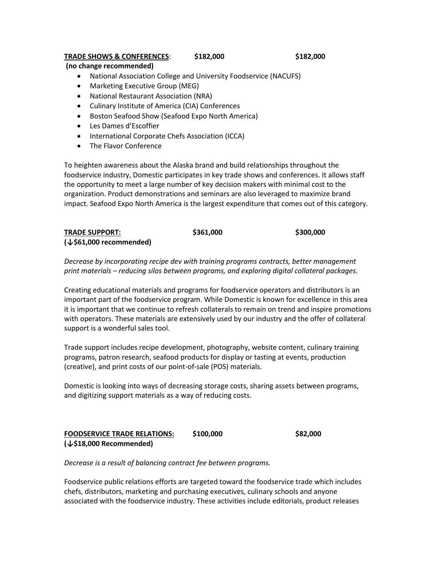### **TRADE SHOWS & CONFERENCES**: **\$182,000 \$182,000**

#### **(no change recommended)**

- National Association College and University Foodservice (NACUFS)
- Marketing Executive Group (MEG)
- National Restaurant Association (NRA)
- Culinary Institute of America (CIA) Conferences
- Boston Seafood Show (Seafood Expo North America)
- Les Dames d'Escoffier
- International Corporate Chefs Association (ICCA)
- The Flavor Conference

To heighten awareness about the Alaska brand and build relationships throughout the foodservice industry, Domestic participates in key trade shows and conferences. It allows staff the opportunity to meet a large number of key decision makers with minimal cost to the organization. Product demonstrations and seminars are also leveraged to maximize brand impact. Seafood Expo North America is the largest expenditure that comes out of this category.

| <b>TRADE SUPPORT:</b>               | \$361,000 | \$300,000 |
|-------------------------------------|-----------|-----------|
| $(\downarrow$ \$61,000 recommended) |           |           |

*Decrease by incorporating recipe dev with training programs contracts, better management print materials – reducing silos between programs, and exploring digital collateral packages.*

Creating educational materials and programs for foodservice operators and distributors is an important part of the foodservice program. While Domestic is known for excellence in this area it is important that we continue to refresh collaterals to remain on trend and inspire promotions with operators. These materials are extensively used by our industry and the offer of collateral support is a wonderful sales tool.

Trade support includes recipe development, photography, website content, culinary training programs, patron research, seafood products for display or tasting at events, production (creative), and print costs of our point-of-sale (POS) materials.

Domestic is looking into ways of decreasing storage costs, sharing assets between programs, and digitizing support materials as a way of reducing costs.

## **FOODSERVICE TRADE RELATIONS: \$100,000 \$82,000 (↓\$18,000 Recommended)**

*Decrease is a result of balancing contract fee between programs.*

Foodservice public relations efforts are targeted toward the foodservice trade which includes chefs, distributors, marketing and purchasing executives, culinary schools and anyone associated with the foodservice industry. These activities include editorials, product releases